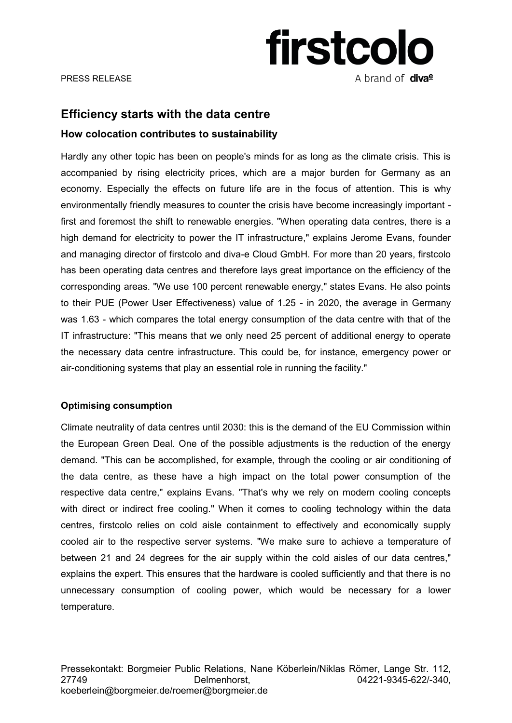

# **Efficiency starts with the data centre**

## **How colocation contributes to sustainability**

Hardly any other topic has been on people's minds for as long as the climate crisis. This is accompanied by rising electricity prices, which are a major burden for Germany as an economy. Especially the effects on future life are in the focus of attention. This is why environmentally friendly measures to counter the crisis have become increasingly important first and foremost the shift to renewable energies. "When operating data centres, there is a high demand for electricity to power the IT infrastructure," explains Jerome Evans, founder and managing director of firstcolo and diva-e Cloud GmbH. For more than 20 years, firstcolo has been operating data centres and therefore lays great importance on the efficiency of the corresponding areas. "We use 100 percent renewable energy," states Evans. He also points to their PUE (Power User Effectiveness) value of 1.25 - in 2020, the average in Germany was 1.63 - which compares the total energy consumption of the data centre with that of the IT infrastructure: "This means that we only need 25 percent of additional energy to operate the necessary data centre infrastructure. This could be, for instance, emergency power or air-conditioning systems that play an essential role in running the facility."

### **Optimising consumption**

Climate neutrality of data centres until 2030: this is the demand of the EU Commission within the European Green Deal. One of the possible adjustments is the reduction of the energy demand. "This can be accomplished, for example, through the cooling or air conditioning of the data centre, as these have a high impact on the total power consumption of the respective data centre," explains Evans. "That's why we rely on modern cooling concepts with direct or indirect free cooling." When it comes to cooling technology within the data centres, firstcolo relies on cold aisle containment to effectively and economically supply cooled air to the respective server systems. "We make sure to achieve a temperature of between 21 and 24 degrees for the air supply within the cold aisles of our data centres," explains the expert. This ensures that the hardware is cooled sufficiently and that there is no unnecessary consumption of cooling power, which would be necessary for a lower temperature.